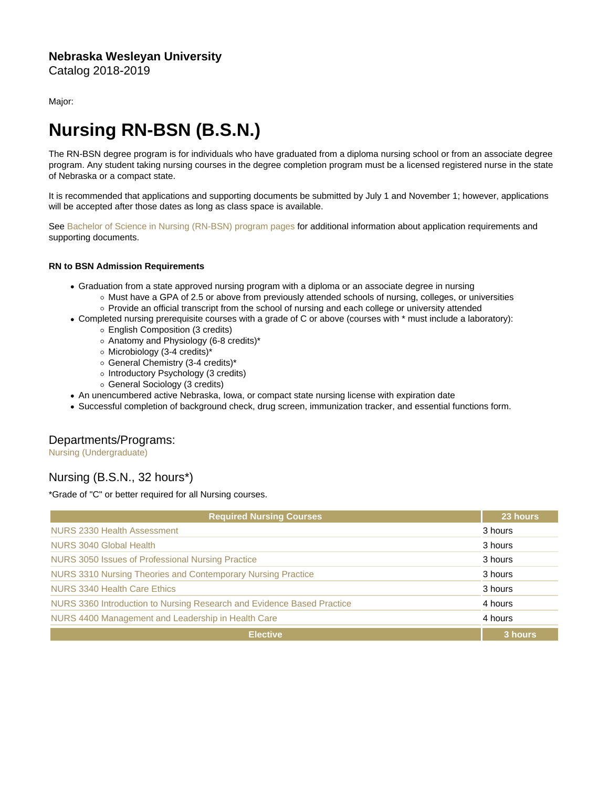Major:

## Nursing RN-BSN (B.S.N.)

The RN-BSN degree program is for individuals who have graduated from a diploma nursing school or from an associate degree program. Any student taking nursing courses in the degree completion program must be a licensed registered nurse in the state of Nebraska or a compact state.

It is recommended that applications and supporting documents be submitted by July 1 and November 1; however, applications will be accepted after those dates as long as class space is available.

See [Bachelor of Science in Nursing \(RN-BSN\) program pages](http://www.nebrwesleyan.edu/node/1743) for additional information about application requirements and supporting documents.

RN to BSN Admission Requirements

- Graduation from a state approved nursing program with a diploma or an associate degree in nursing
	- o Must have a GPA of 2.5 or above from previously attended schools of nursing, colleges, or universities ○ Provide an official transcript from the school of nursing and each college or university attended
- Completed nursing prerequisite courses with a grade of C or above (courses with \* must include a laboratory):
	- English Composition (3 credits)
	- Anatomy and Physiology (6-8 credits)\*
	- Microbiology (3-4 credits)\*
	- o General Chemistry (3-4 credits)\*
	- o Introductory Psychology (3 credits)
	- General Sociology (3 credits)
- An unencumbered active Nebraska, Iowa, or compact state nursing license with expiration date
- Successful completion of background check, drug screen, immunization tracker, and essential functions form.

## Departments/Programs:

[Nursing \(Undergraduate\)](https://catalog.nebrwesleyan.edu/cc/2018-2019/department/330880)

## Nursing (B.S.N., 32 hours\*)

\*Grade of "C" or better required for all Nursing courses.

| <b>Required Nursing Courses</b>                                        | 23 hours |
|------------------------------------------------------------------------|----------|
| NURS 2330 Health Assessment                                            | 3 hours  |
| NURS 3040 Global Health                                                | 3 hours  |
| NURS 3050 Issues of Professional Nursing Practice                      | 3 hours  |
| NURS 3310 Nursing Theories and Contemporary Nursing Practice           | 3 hours  |
| NURS 3340 Health Care Ethics                                           | 3 hours  |
| NURS 3360 Introduction to Nursing Research and Evidence Based Practice | 4 hours  |
| NURS 4400 Management and Leadership in Health Care                     | 4 hours  |
| <b>Elective</b>                                                        | 3 hours  |